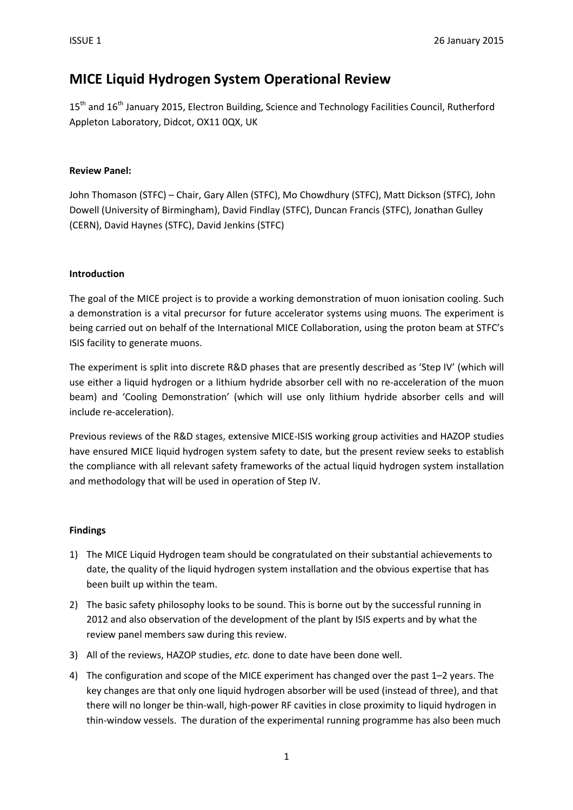# MICE Liquid Hydrogen System Operational Review

15<sup>th</sup> and 16<sup>th</sup> January 2015, Electron Building, Science and Technology Facilities Council, Rutherford Appleton Laboratory, Didcot, OX11 0QX, UK

### Review Panel:

John Thomason (STFC) – Chair, Gary Allen (STFC), Mo Chowdhury (STFC), Matt Dickson (STFC), John Dowell (University of Birmingham), David Findlay (STFC), Duncan Francis (STFC), Jonathan Gulley (CERN), David Haynes (STFC), David Jenkins (STFC)

### Introduction

The goal of the MICE project is to provide a working demonstration of muon ionisation cooling. Such a demonstration is a vital precursor for future accelerator systems using muons. The experiment is being carried out on behalf of the International MICE Collaboration, using the proton beam at STFC's ISIS facility to generate muons.

The experiment is split into discrete R&D phases that are presently described as 'Step IV' (which will use either a liquid hydrogen or a lithium hydride absorber cell with no re-acceleration of the muon beam) and 'Cooling Demonstration' (which will use only lithium hydride absorber cells and will include re-acceleration).

Previous reviews of the R&D stages, extensive MICE-ISIS working group activities and HAZOP studies have ensured MICE liquid hydrogen system safety to date, but the present review seeks to establish the compliance with all relevant safety frameworks of the actual liquid hydrogen system installation and methodology that will be used in operation of Step IV.

### Findings

- 1) The MICE Liquid Hydrogen team should be congratulated on their substantial achievements to date, the quality of the liquid hydrogen system installation and the obvious expertise that has been built up within the team.
- 2) The basic safety philosophy looks to be sound. This is borne out by the successful running in 2012 and also observation of the development of the plant by ISIS experts and by what the review panel members saw during this review.
- 3) All of the reviews, HAZOP studies, etc. done to date have been done well.
- 4) The configuration and scope of the MICE experiment has changed over the past 1–2 years. The key changes are that only one liquid hydrogen absorber will be used (instead of three), and that there will no longer be thin-wall, high-power RF cavities in close proximity to liquid hydrogen in thin-window vessels. The duration of the experimental running programme has also been much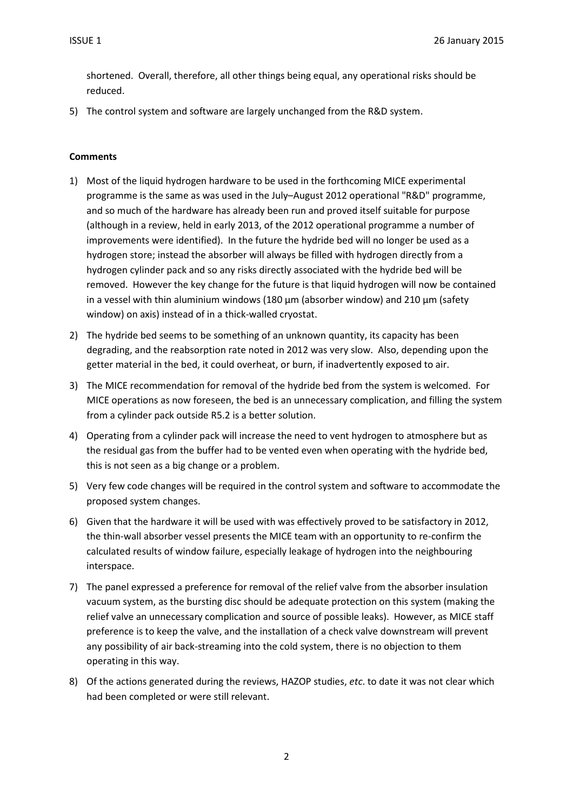shortened. Overall, therefore, all other things being equal, any operational risks should be reduced.

5) The control system and software are largely unchanged from the R&D system.

#### **Comments**

- 1) Most of the liquid hydrogen hardware to be used in the forthcoming MICE experimental programme is the same as was used in the July–August 2012 operational "R&D" programme, and so much of the hardware has already been run and proved itself suitable for purpose (although in a review, held in early 2013, of the 2012 operational programme a number of improvements were identified). In the future the hydride bed will no longer be used as a hydrogen store; instead the absorber will always be filled with hydrogen directly from a hydrogen cylinder pack and so any risks directly associated with the hydride bed will be removed. However the key change for the future is that liquid hydrogen will now be contained in a vessel with thin aluminium windows (180  $\mu$ m (absorber window) and 210  $\mu$ m (safety window) on axis) instead of in a thick-walled cryostat.
- 2) The hydride bed seems to be something of an unknown quantity, its capacity has been degrading, and the reabsorption rate noted in 2012 was very slow. Also, depending upon the getter material in the bed, it could overheat, or burn, if inadvertently exposed to air.
- 3) The MICE recommendation for removal of the hydride bed from the system is welcomed. For MICE operations as now foreseen, the bed is an unnecessary complication, and filling the system from a cylinder pack outside R5.2 is a better solution.
- 4) Operating from a cylinder pack will increase the need to vent hydrogen to atmosphere but as the residual gas from the buffer had to be vented even when operating with the hydride bed, this is not seen as a big change or a problem.
- 5) Very few code changes will be required in the control system and software to accommodate the proposed system changes.
- 6) Given that the hardware it will be used with was effectively proved to be satisfactory in 2012, the thin-wall absorber vessel presents the MICE team with an opportunity to re-confirm the calculated results of window failure, especially leakage of hydrogen into the neighbouring interspace.
- 7) The panel expressed a preference for removal of the relief valve from the absorber insulation vacuum system, as the bursting disc should be adequate protection on this system (making the relief valve an unnecessary complication and source of possible leaks). However, as MICE staff preference is to keep the valve, and the installation of a check valve downstream will prevent any possibility of air back-streaming into the cold system, there is no objection to them operating in this way.
- 8) Of the actions generated during the reviews, HAZOP studies, etc. to date it was not clear which had been completed or were still relevant.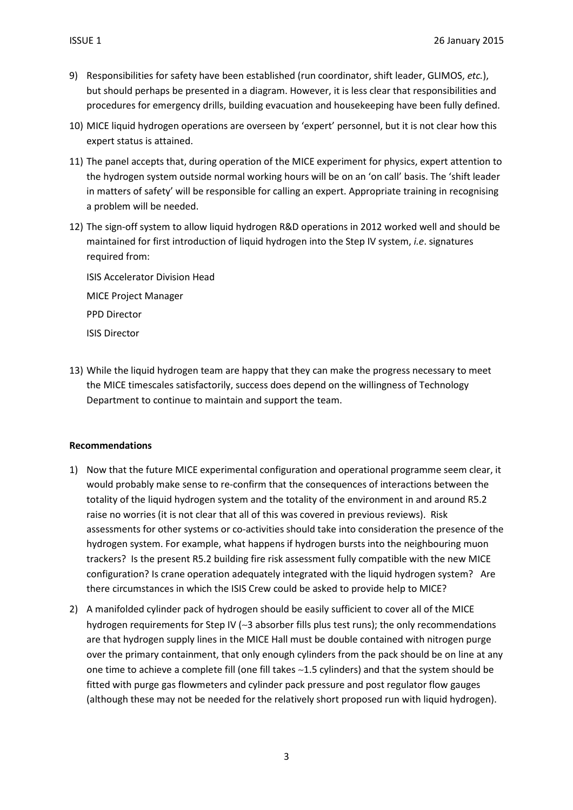- 9) Responsibilities for safety have been established (run coordinator, shift leader, GLIMOS, etc.), but should perhaps be presented in a diagram. However, it is less clear that responsibilities and procedures for emergency drills, building evacuation and housekeeping have been fully defined.
- 10) MICE liquid hydrogen operations are overseen by 'expert' personnel, but it is not clear how this expert status is attained.
- 11) The panel accepts that, during operation of the MICE experiment for physics, expert attention to the hydrogen system outside normal working hours will be on an 'on call' basis. The 'shift leader in matters of safety' will be responsible for calling an expert. Appropriate training in recognising a problem will be needed.
- 12) The sign-off system to allow liquid hydrogen R&D operations in 2012 worked well and should be maintained for first introduction of liquid hydrogen into the Step IV system, i.e. signatures required from:

ISIS Accelerator Division Head MICE Project Manager PPD Director ISIS Director

13) While the liquid hydrogen team are happy that they can make the progress necessary to meet the MICE timescales satisfactorily, success does depend on the willingness of Technology Department to continue to maintain and support the team.

### Recommendations

- 1) Now that the future MICE experimental configuration and operational programme seem clear, it would probably make sense to re-confirm that the consequences of interactions between the totality of the liquid hydrogen system and the totality of the environment in and around R5.2 raise no worries (it is not clear that all of this was covered in previous reviews). Risk assessments for other systems or co-activities should take into consideration the presence of the hydrogen system. For example, what happens if hydrogen bursts into the neighbouring muon trackers? Is the present R5.2 building fire risk assessment fully compatible with the new MICE configuration? Is crane operation adequately integrated with the liquid hydrogen system? Are there circumstances in which the ISIS Crew could be asked to provide help to MICE?
- 2) A manifolded cylinder pack of hydrogen should be easily sufficient to cover all of the MICE hydrogen requirements for Step IV (∼3 absorber fills plus test runs); the only recommendations are that hydrogen supply lines in the MICE Hall must be double contained with nitrogen purge over the primary containment, that only enough cylinders from the pack should be on line at any one time to achieve a complete fill (one fill takes ∼1.5 cylinders) and that the system should be fitted with purge gas flowmeters and cylinder pack pressure and post regulator flow gauges (although these may not be needed for the relatively short proposed run with liquid hydrogen).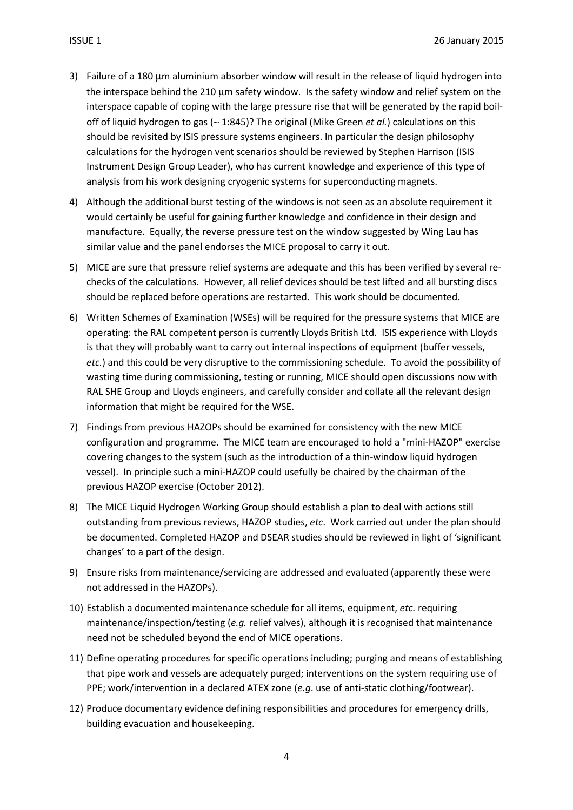- 3) Failure of a 180 µm aluminium absorber window will result in the release of liquid hydrogen into the interspace behind the 210 µm safety window. Is the safety window and relief system on the interspace capable of coping with the large pressure rise that will be generated by the rapid boiloff of liquid hydrogen to gas (∼ 1:845)? The original (Mike Green et al.) calculations on this should be revisited by ISIS pressure systems engineers. In particular the design philosophy calculations for the hydrogen vent scenarios should be reviewed by Stephen Harrison (ISIS Instrument Design Group Leader), who has current knowledge and experience of this type of analysis from his work designing cryogenic systems for superconducting magnets.
- 4) Although the additional burst testing of the windows is not seen as an absolute requirement it would certainly be useful for gaining further knowledge and confidence in their design and manufacture. Equally, the reverse pressure test on the window suggested by Wing Lau has similar value and the panel endorses the MICE proposal to carry it out.
- 5) MICE are sure that pressure relief systems are adequate and this has been verified by several rechecks of the calculations. However, all relief devices should be test lifted and all bursting discs should be replaced before operations are restarted. This work should be documented.
- 6) Written Schemes of Examination (WSEs) will be required for the pressure systems that MICE are operating: the RAL competent person is currently Lloyds British Ltd. ISIS experience with Lloyds is that they will probably want to carry out internal inspections of equipment (buffer vessels, etc.) and this could be very disruptive to the commissioning schedule. To avoid the possibility of wasting time during commissioning, testing or running, MICE should open discussions now with RAL SHE Group and Lloyds engineers, and carefully consider and collate all the relevant design information that might be required for the WSE.
- 7) Findings from previous HAZOPs should be examined for consistency with the new MICE configuration and programme. The MICE team are encouraged to hold a "mini-HAZOP" exercise covering changes to the system (such as the introduction of a thin-window liquid hydrogen vessel). In principle such a mini-HAZOP could usefully be chaired by the chairman of the previous HAZOP exercise (October 2012).
- 8) The MICE Liquid Hydrogen Working Group should establish a plan to deal with actions still outstanding from previous reviews, HAZOP studies, etc. Work carried out under the plan should be documented. Completed HAZOP and DSEAR studies should be reviewed in light of 'significant changes' to a part of the design.
- 9) Ensure risks from maintenance/servicing are addressed and evaluated (apparently these were not addressed in the HAZOPs).
- 10) Establish a documented maintenance schedule for all items, equipment, etc. requiring maintenance/inspection/testing (e.g. relief valves), although it is recognised that maintenance need not be scheduled beyond the end of MICE operations.
- 11) Define operating procedures for specific operations including; purging and means of establishing that pipe work and vessels are adequately purged; interventions on the system requiring use of PPE; work/intervention in a declared ATEX zone (e.g. use of anti-static clothing/footwear).
- 12) Produce documentary evidence defining responsibilities and procedures for emergency drills, building evacuation and housekeeping.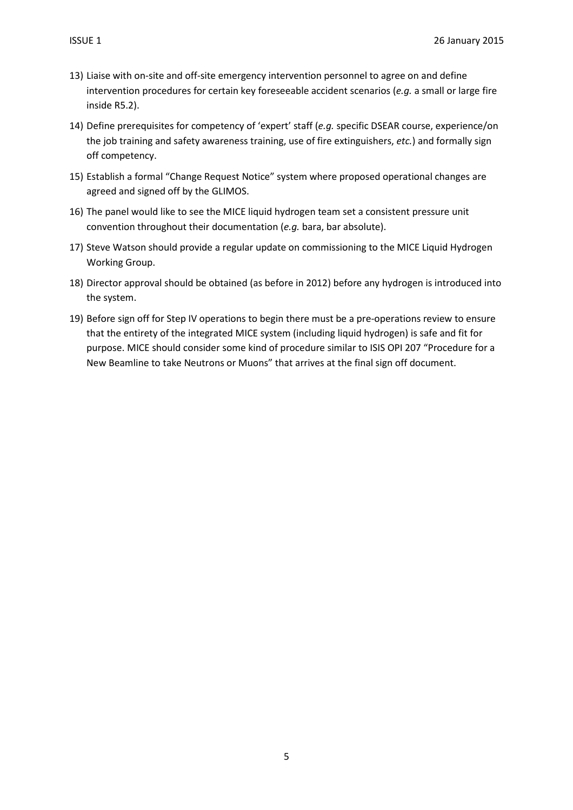- 13) Liaise with on-site and off-site emergency intervention personnel to agree on and define intervention procedures for certain key foreseeable accident scenarios (e.g. a small or large fire inside R5.2).
- 14) Define prerequisites for competency of 'expert' staff (e.g. specific DSEAR course, experience/on the job training and safety awareness training, use of fire extinguishers, etc.) and formally sign off competency.
- 15) Establish a formal "Change Request Notice" system where proposed operational changes are agreed and signed off by the GLIMOS.
- 16) The panel would like to see the MICE liquid hydrogen team set a consistent pressure unit convention throughout their documentation (e.g. bara, bar absolute).
- 17) Steve Watson should provide a regular update on commissioning to the MICE Liquid Hydrogen Working Group.
- 18) Director approval should be obtained (as before in 2012) before any hydrogen is introduced into the system.
- 19) Before sign off for Step IV operations to begin there must be a pre-operations review to ensure that the entirety of the integrated MICE system (including liquid hydrogen) is safe and fit for purpose. MICE should consider some kind of procedure similar to ISIS OPI 207 "Procedure for a New Beamline to take Neutrons or Muons" that arrives at the final sign off document.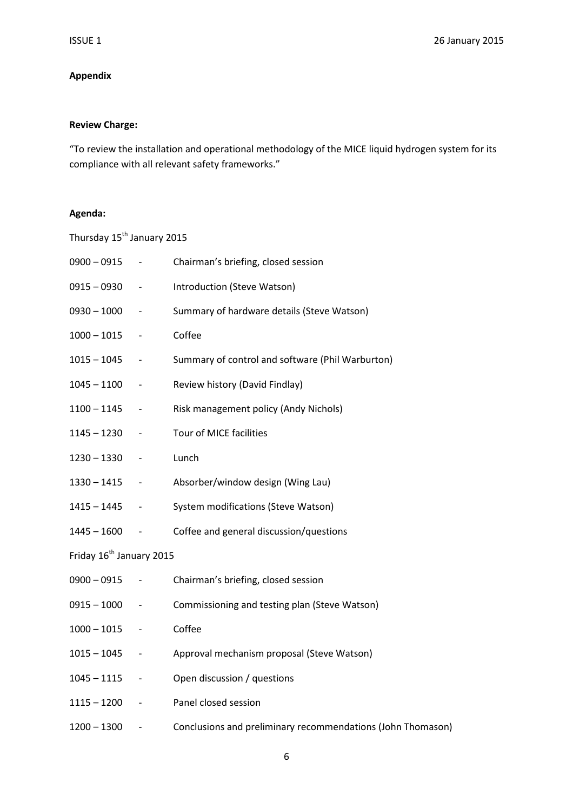## Appendix

## Review Charge:

"To review the installation and operational methodology of the MICE liquid hydrogen system for its compliance with all relevant safety frameworks."

#### Agenda:

| Thursday 15 <sup>th</sup> January 2015 |                          |                                                             |
|----------------------------------------|--------------------------|-------------------------------------------------------------|
| $0900 - 0915$                          | $\overline{\phantom{a}}$ | Chairman's briefing, closed session                         |
| $0915 - 0930$                          | $\overline{\phantom{a}}$ | Introduction (Steve Watson)                                 |
| $0930 - 1000$                          |                          | Summary of hardware details (Steve Watson)                  |
| $1000 - 1015$                          |                          | Coffee                                                      |
| $1015 - 1045$                          |                          | Summary of control and software (Phil Warburton)            |
| $1045 - 1100$                          |                          | Review history (David Findlay)                              |
| $1100 - 1145$                          | $\overline{\phantom{a}}$ | Risk management policy (Andy Nichols)                       |
| $1145 - 1230$                          |                          | Tour of MICE facilities                                     |
| $1230 - 1330$                          |                          | Lunch                                                       |
| $1330 - 1415$                          |                          | Absorber/window design (Wing Lau)                           |
| $1415 - 1445$                          |                          | System modifications (Steve Watson)                         |
| $1445 - 1600$                          | $\overline{\phantom{a}}$ | Coffee and general discussion/questions                     |
| Friday 16 <sup>th</sup> January 2015   |                          |                                                             |
| $0900 - 0915$                          |                          | Chairman's briefing, closed session                         |
| $0915 - 1000$                          | $\overline{\phantom{a}}$ | Commissioning and testing plan (Steve Watson)               |
| $1000 - 1015$                          |                          | Coffee                                                      |
| $1015 - 1045$                          |                          | Approval mechanism proposal (Steve Watson)                  |
| $1045 - 1115$                          | $\overline{\phantom{a}}$ | Open discussion / questions                                 |
| $1115 - 1200$                          |                          | Panel closed session                                        |
| $1200 - 1300$                          |                          | Conclusions and preliminary recommendations (John Thomason) |